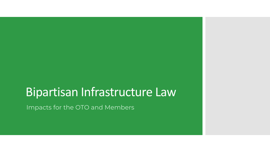## Bipartisan Infrastructure Law

Impacts for the OTO and Members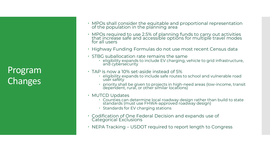Program Changes

- MPOs shall consider the equitable and proportional representation of the population in the planning area
- MPOs required to use 2.5% of planning funds to carry out activities that increase safe and accessible options for multiple travel modes for all users
- Highway Funding Formulas do not use most recent Census data
- $\cdot$  STBG suballocation rate remains the same
	- eligibility expands to include EV charging, vehicle to grid infrastructure, and cybersecurity
- TAP is now a 10% set-aside instead of 5%
	- eligibility expands to include safe routes to school and vulnerable road user safety
	- priority shall be given to projects in high-need areas (low-income, transit dependent, rural, or other similar locations)
- MUTCD Updates
	- Counties can determine local roadway design rather than build to state standards (must use FHWA-approved roadway design)
	- Standards for EV charging stations
- Codification of One Federal Decision and expands use of Categorical Exclusions
- $\cdot$  NEPA Tracking USDOT required to report length to Congress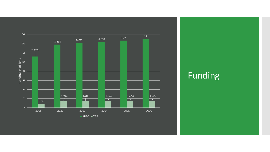

Funding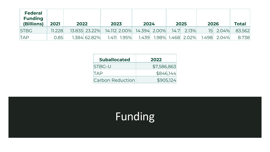| <b>Federal</b><br><b>Funding</b><br>(Billions) | 2021   | 2022 |               | 2023 |                  | 2024                      |  | 2025 |                   | 2026 |               | <b>Total</b> |
|------------------------------------------------|--------|------|---------------|------|------------------|---------------------------|--|------|-------------------|------|---------------|--------------|
| <b>STBG</b>                                    | 11.228 |      | 13.835 23.22% |      |                  | 14.112 2.00% 14.394 2.00% |  |      | $14.7$ 2.13%      |      | 15 2.04%      | 83.562       |
| <b>TAP</b>                                     | 0.85   |      | 1.384 62.82%  |      | $1.411$ $1.95\%$ | 1.439                     |  |      | 1.98% 1.468 2.02% |      | $1.498$ 2.04% | 8.738        |

| <b>Suballocated</b> | 2022        |
|---------------------|-------------|
| <b>ISTBG-U</b>      | \$7,586,863 |
| <b>TAP</b>          | \$846,144   |
| Carbon Reduction    | \$905,124   |

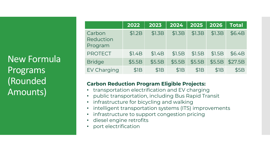New Formula Programs (Rounded Amounts)

|                                       | 2022   | 2023   | 2024   | 2025             | 2026   | <b>Total</b> |
|---------------------------------------|--------|--------|--------|------------------|--------|--------------|
| Carbon<br><b>Reduction</b><br>Program | \$1.2B | \$1.3B | \$1.3B | \$1.3B           | \$1.3B | \$6.4B       |
| <b>PROTECT</b>                        | \$1.4B | \$1.4B | \$1.5B | \$1.5B           | \$1.5B | \$6.4B       |
| <b>Bridge</b>                         | \$5.5B | \$5.5B | \$5.5B | \$5.5B           | \$5.5B | \$27.5B      |
| <b>EV Charging</b>                    | \$IB   | \$IB   | \$IB   | \$1 <sub>B</sub> | \$IB   | \$5B         |

## **Carbon Reduction Program Eligible Projects:**

- transportation electrification and EV charging
- public transportation, including Bus Rapid Transit
- infrastructure for bicycling and walking
- intelligent transportation systems (ITS) improvements
- infrastructure to support congestion pricing
- diesel engine retrofits
- port electrification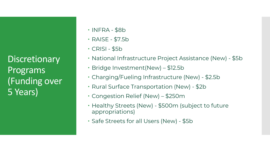**Discretionary** Programs (Funding over 5 Years)

- $\cdot$  INFRA \$8b
- RAISE \$7.5b
- $\cdot$  CRISI \$5b
- National Infrastructure Project Assistance (New) \$5b
- Bridge Investment(New) \$12.5b
- Charging/Fueling Infrastructure (New) \$2.5b
- Rural Surface Transportation (New) \$2b
- Congestion Relief (New) \$250m
- Healthy Streets (New) \$500m (subject to future appropriations)
- Safe Streets for all Users (New) \$5b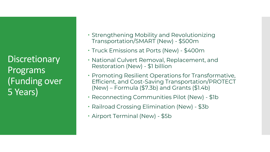**Discretionary** Programs (Funding over 5 Years)

- Strengthening Mobility and Revolutionizing Transportation/SMART (New) - \$500m
- Truck Emissions at Ports (New) \$400m
- National Culvert Removal, Replacement, and Restoration (New) - \$1 billion
- Promoting Resilient Operations for Transformative, Efficient, and Cost-Saving Transportation/PROTECT (New) – Formula (\$7.3b) and Grants (\$1.4b)
- Reconnecting Communities Pilot (New) \$1b
- Railroad Crossing Elimination (New) \$3b
- Airport Terminal (New) \$5b